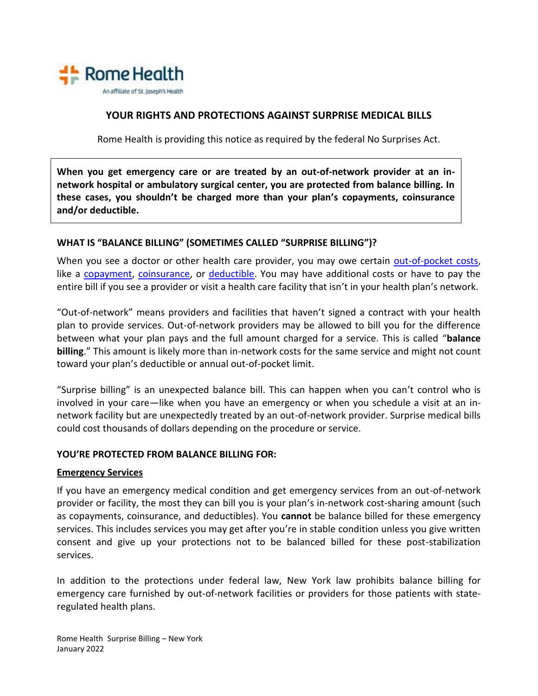

# **YOUR RIGHTS AND PROTECTIONS AGAINST SURPRISE MEDICAL BILLS**

Rome Health is providing this notice as required by the federal No Surprises Act.

**When you get emergency care or are treated by an out-of-network provider at an innetwork hospital or ambulatory surgical center, you are protected from balance billing. In these cases, you shouldn't be charged more than your plan's copayments, coinsurance and/or deductible.**

### **WHAT IS "BALANCE BILLING" (SOMETIMES CALLED "SURPRISE BILLING")?**

When you see a doctor or other health care provider, you may owe certain [out-of-pocket costs,](https://www.healthcare.gov/glossary/out-of-pocket-costs/) like a [copayment,](https://www.healthcare.gov/glossary/co-payment/) [coinsurance,](https://www.healthcare.gov/glossary/co-insurance/) or [deductible.](https://www.healthcare.gov/glossary/deductible/) You may have additional costs or have to pay the entire bill if you see a provider or visit a health care facility that isn't in your health plan's network.

"Out-of-network" means providers and facilities that haven't signed a contract with your health plan to provide services. Out-of-network providers may be allowed to bill you for the difference between what your plan pays and the full amount charged for a service. This is called "**balance billing**." This amount is likely more than in-network costs for the same service and might not count toward your plan's deductible or annual out-of-pocket limit.

"Surprise billing" is an unexpected balance bill. This can happen when you can't control who is involved in your care—like when you have an emergency or when you schedule a visit at an innetwork facility but are unexpectedly treated by an out-of-network provider. Surprise medical bills could cost thousands of dollars depending on the procedure or service.

### **YOU'RE PROTECTED FROM BALANCE BILLING FOR:**

#### **Emergency Services**

If you have an emergency medical condition and get emergency services from an out-of-network provider or facility, the most they can bill you is your plan's in-network cost-sharing amount (such as copayments, coinsurance, and deductibles). You **cannot** be balance billed for these emergency services. This includes services you may get after you're in stable condition unless you give written consent and give up your protections not to be balanced billed for these post-stabilization services.

In addition to the protections under federal law, New York law prohibits balance billing for emergency care furnished by out-of-network facilities or providers for those patients with stateregulated health plans.